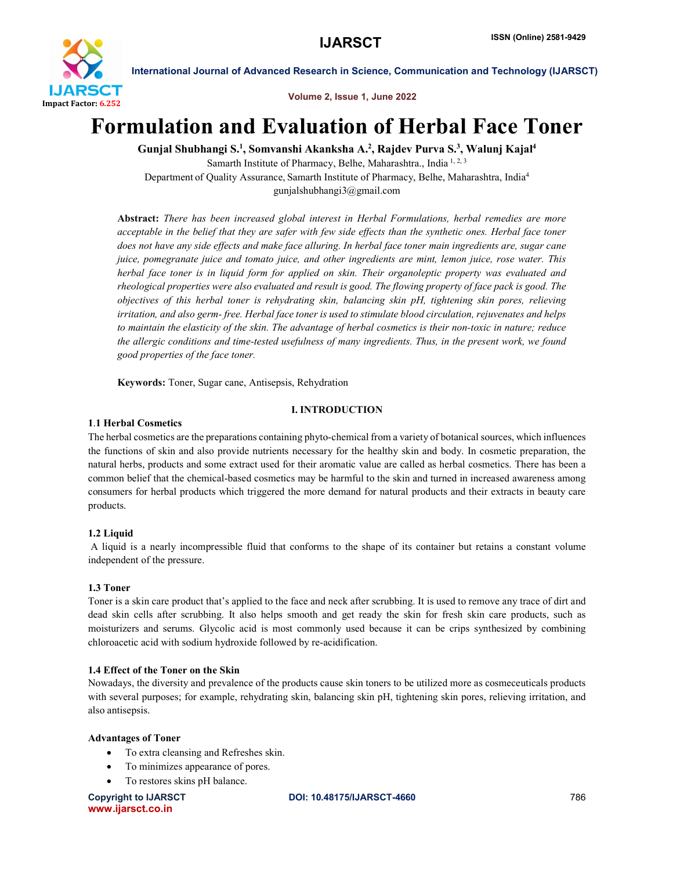

Volume 2, Issue 1, June 2022

# Formulation and Evaluation of Herbal Face Toner

Gunjal Shubhangi S.<sup>1</sup>, Somvanshi Akanksha A.<sup>2</sup>, Rajdev Purva S.<sup>3</sup>, Walunj Kajal<sup>4</sup> Samarth Institute of Pharmacy, Belhe, Maharashtra., India 1, 2, 3 Department of Quality Assurance, Samarth Institute of Pharmacy, Belhe, Maharashtra, India4

gunjalshubhangi3@gmail.com

Abstract: *There has been increased global interest in Herbal Formulations, herbal remedies are more acceptable in the belief that they are safer with few side effects than the synthetic ones. Herbal face toner does not have any side effects and make face alluring. In herbal face toner main ingredients are, sugar cane juice, pomegranate juice and tomato juice, and other ingredients are mint, lemon juice, rose water. This herbal face toner is in liquid form for applied on skin. Their organoleptic property was evaluated and rheological properties were also evaluated and result is good. The flowing property of face pack is good. The objectives of this herbal toner is rehydrating skin, balancing skin pH, tightening skin pores, relieving irritation, and also germ- free. Herbal face toner is used to stimulate blood circulation, rejuvenates and helps to maintain the elasticity of the skin. The advantage of herbal cosmetics is their non-toxic in nature; reduce the allergic conditions and time-tested usefulness of many ingredients. Thus, in the present work, we found good properties of the face toner.*

Keywords: Toner, Sugar cane, Antisepsis, Rehydration

# I. INTRODUCTION

# 1.1 Herbal Cosmetics

The herbal cosmetics are the preparations containing phyto-chemical from a variety of botanical sources, which influences the functions of skin and also provide nutrients necessary for the healthy skin and body. In cosmetic preparation, the natural herbs, products and some extract used for their aromatic value are called as herbal cosmetics. There has been a common belief that the chemical-based cosmetics may be harmful to the skin and turned in increased awareness among consumers for herbal products which triggered the more demand for natural products and their extracts in beauty care products.

# 1.2 Liquid

A liquid is a nearly incompressible fluid that conforms to the shape of its container but retains a constant volume independent of the pressure.

# 1.3 Toner

Toner is a skin care product that's applied to the face and neck after scrubbing. It is used to remove any trace of dirt and dead skin cells after scrubbing. It also helps smooth and get ready the skin for fresh skin care products, such as moisturizers and serums. Glycolic acid is most commonly used because it can be crips synthesized by combining chloroacetic acid with sodium hydroxide followed by re-acidification.

# 1.4 Effect of the Toner on the Skin

Nowadays, the diversity and prevalence of the products cause skin toners to be utilized more as cosmeceuticals products with several purposes; for example, rehydrating skin, balancing skin pH, tightening skin pores, relieving irritation, and also antisepsis.

# Advantages of Toner

- To extra cleansing and Refreshes skin.
- To minimizes appearance of pores.
- To restores skins pH balance.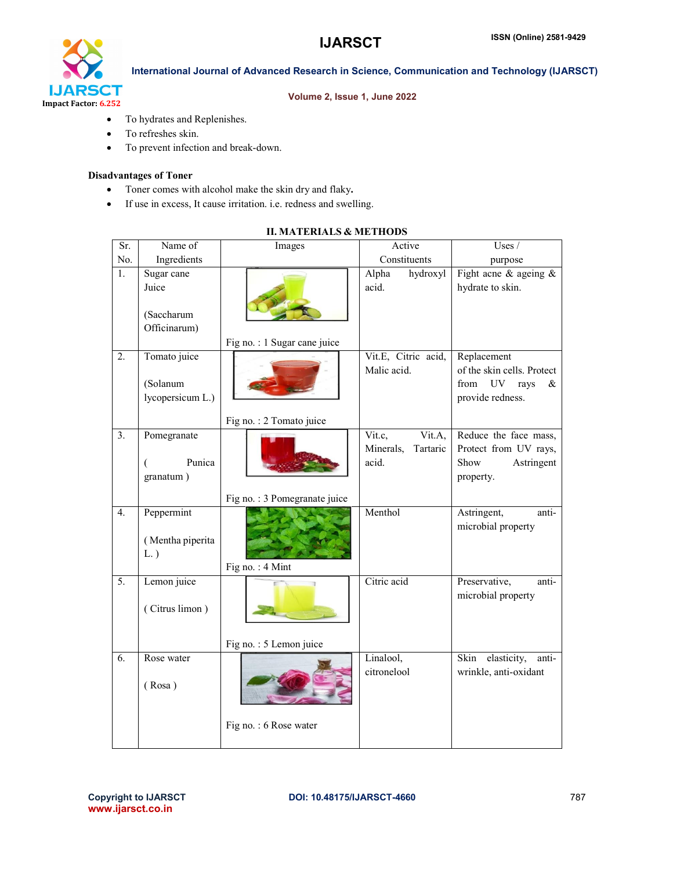

### Volume 2, Issue 1, June 2022

- To hydrates and Replenishes.
- To refreshes skin.
- To prevent infection and break-down.

# Disadvantages of Toner

- Toner comes with alcohol make the skin dry and flaky.
- If use in excess, It cause irritation. i.e. redness and swelling.

| Sr.              | Name of                                           | Images                       | Active                                             | Uses /                                                                                               |
|------------------|---------------------------------------------------|------------------------------|----------------------------------------------------|------------------------------------------------------------------------------------------------------|
| No.              | Ingredients                                       |                              | Constituents                                       | purpose                                                                                              |
| 1.               | Sugar cane<br>Juice<br>(Saccharum<br>Officinarum) |                              | Alpha<br>hydroxyl<br>acid.                         | Fight acne $\&$ ageing $\&$<br>hydrate to skin.                                                      |
|                  |                                                   | Fig no.: 1 Sugar cane juice  |                                                    |                                                                                                      |
| $\overline{2}$ . | Tomato juice<br>(Solanum<br>lycopersicum L.)      |                              | Vit.E, Citric acid,<br>Malic acid.                 | Replacement<br>of the skin cells. Protect<br>from<br>UV <sub></sub><br>rays<br>&<br>provide redness. |
|                  |                                                   | Fig no.: 2 Tomato juice      |                                                    |                                                                                                      |
| 3 <sub>1</sub>   | Pomegranate<br>Punica<br>granatum)                |                              | Vit.c,<br>Vit.A,<br>Minerals,<br>Tartaric<br>acid. | Reduce the face mass,<br>Protect from UV rays,<br>Astringent<br>Show<br>property.                    |
|                  |                                                   | Fig no.: 3 Pomegranate juice |                                                    |                                                                                                      |
| $\overline{4}$ . | Peppermint<br>(Mentha piperita<br>$L.$ )          | Fig no.: 4 Mint              | Menthol                                            | Astringent,<br>anti-<br>microbial property                                                           |
| $\overline{5}$ . | Lemon juice<br>(Citrus limon)                     | Fig no.: 5 Lemon juice       | Citric acid                                        | Preservative,<br>anti-<br>microbial property                                                         |
| 6.               | Rose water                                        |                              | Linalool,<br>citronelool                           | Skin<br>elasticity,<br>anti-<br>wrinkle, anti-oxidant                                                |
|                  | (Rosa)                                            | Fig no.: 6 Rose water        |                                                    |                                                                                                      |

# II. MATERIALS & METHODS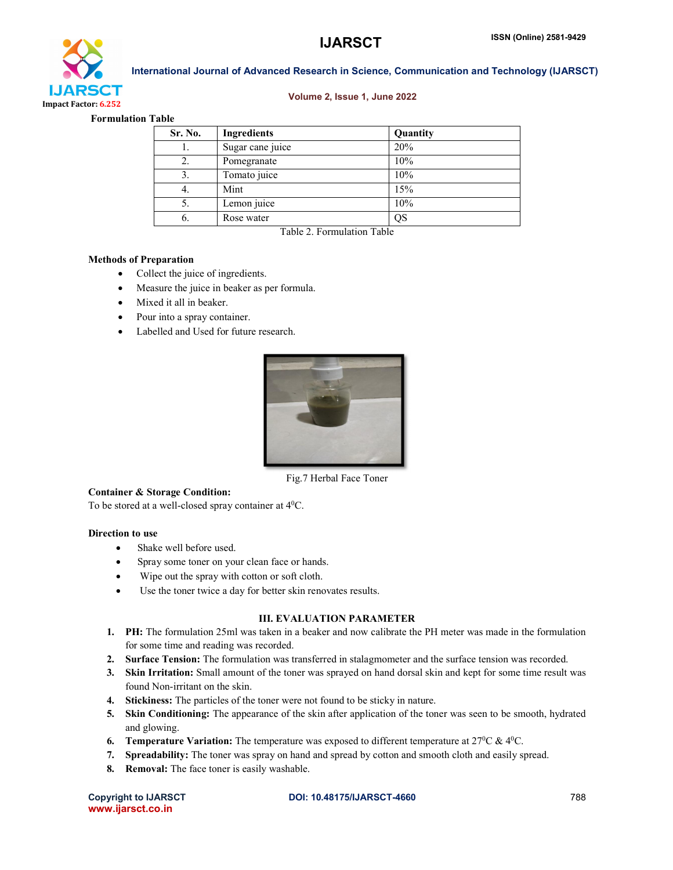

#### Volume 2, Issue 1, June 2022

#### Formulation Table

| Sr. No. | Ingredients      | Quantity |
|---------|------------------|----------|
|         | Sugar cane juice | 20%      |
| 2.      | Pomegranate      | 10%      |
| 3.      | Tomato juice     | 10%      |
| 4.      | Mint             | 15%      |
| 5.      | Lemon juice      | 10%      |
| 6.      | Rose water       | QS       |

Table 2. Formulation Table

#### Methods of Preparation

- Collect the juice of ingredients.
- Measure the juice in beaker as per formula.
- Mixed it all in beaker.
- Pour into a spray container.
- Labelled and Used for future research.



Fig.7 Herbal Face Toner

#### Container & Storage Condition:

To be stored at a well-closed spray container at 40C.

#### Direction to use

- Shake well before used.
- Spray some toner on your clean face or hands.
- Wipe out the spray with cotton or soft cloth.
- Use the toner twice a day for better skin renovates results.

#### III. EVALUATION PARAMETER

- 1. PH: The formulation 25ml was taken in a beaker and now calibrate the PH meter was made in the formulation for some time and reading was recorded.
- 2. Surface Tension: The formulation was transferred in stalagmometer and the surface tension was recorded.
- 3. Skin Irritation: Small amount of the toner was sprayed on hand dorsal skin and kept for some time result was found Non-irritant on the skin.
- 4. Stickiness: The particles of the toner were not found to be sticky in nature.
- 5. Skin Conditioning: The appearance of the skin after application of the toner was seen to be smooth, hydrated and glowing.
- **6.** Temperature Variation: The temperature was exposed to different temperature at  $27^{\circ}\text{C}$  &  $4^{\circ}\text{C}$ .
- 7. Spreadability: The toner was spray on hand and spread by cotton and smooth cloth and easily spread.
- 8. Removal: The face toner is easily washable.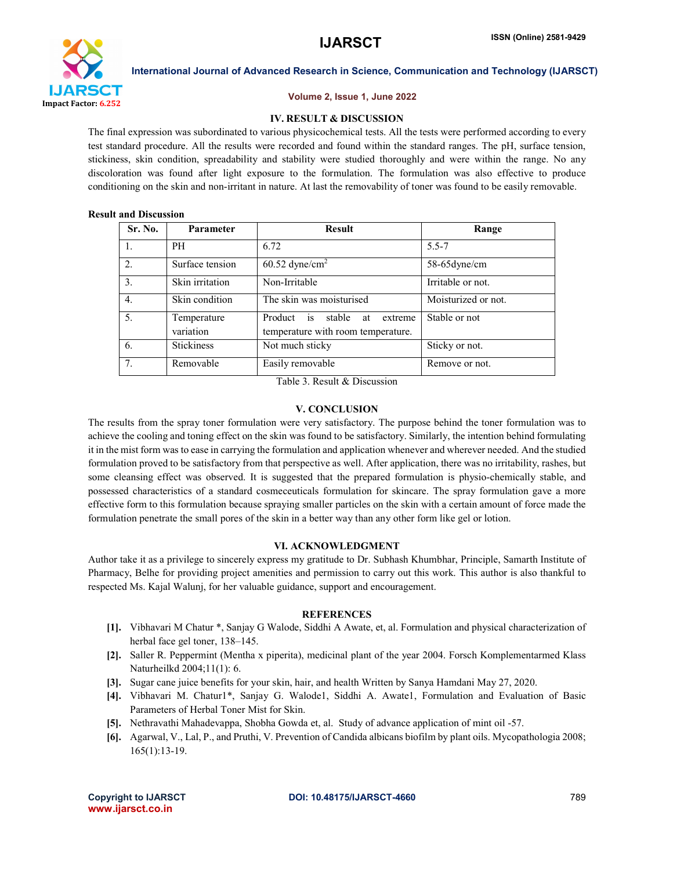

#### Volume 2, Issue 1, June 2022

#### IV. RESULT & DISCUSSION

The final expression was subordinated to various physicochemical tests. All the tests were performed according to every test standard procedure. All the results were recorded and found within the standard ranges. The pH, surface tension, stickiness, skin condition, spreadability and stability were studied thoroughly and were within the range. No any discoloration was found after light exposure to the formulation. The formulation was also effective to produce conditioning on the skin and non-irritant in nature. At last the removability of toner was found to be easily removable.

#### Result and Discussion

| Sr. No.          | Parameter                | <b>Result</b>                                                               | Range                                    |
|------------------|--------------------------|-----------------------------------------------------------------------------|------------------------------------------|
| $\mathbf{1}$ .   | <b>PH</b>                | 6.72                                                                        | $5.5 - 7$                                |
| 2.               | Surface tension          | $60.52$ dyne/cm <sup>2</sup>                                                | $58-65$ dyne/cm                          |
| 3.               | Skin irritation          | Non-Irritable                                                               | Irritable or not.                        |
| $\overline{4}$ . | Skin condition           | The skin was moisturised                                                    | $\overline{\text{M}}$ oisturized or not. |
| 5.               | Temperature<br>variation | Product is<br>stable<br>extreme<br>at<br>temperature with room temperature. | Stable or not                            |
| 6.               | <b>Stickiness</b>        | Not much sticky                                                             | Sticky or not.                           |
| 7.               | Removable                | Easily removable                                                            | Remove or not.                           |

Table 3. Result & Discussion

#### V. CONCLUSION

The results from the spray toner formulation were very satisfactory. The purpose behind the toner formulation was to achieve the cooling and toning effect on the skin was found to be satisfactory. Similarly, the intention behind formulating it in the mist form was to ease in carrying the formulation and application whenever and wherever needed. And the studied formulation proved to be satisfactory from that perspective as well. After application, there was no irritability, rashes, but some cleansing effect was observed. It is suggested that the prepared formulation is physio-chemically stable, and possessed characteristics of a standard cosmeceuticals formulation for skincare. The spray formulation gave a more effective form to this formulation because spraying smaller particles on the skin with a certain amount of force made the formulation penetrate the small pores of the skin in a better way than any other form like gel or lotion.

#### VI. ACKNOWLEDGMENT

Author take it as a privilege to sincerely express my gratitude to Dr. Subhash Khumbhar, Principle, Samarth Institute of Pharmacy, Belhe for providing project amenities and permission to carry out this work. This author is also thankful to respected Ms. Kajal Walunj, for her valuable guidance, support and encouragement.

#### **REFERENCES**

- [1]. Vibhavari M Chatur \*, Sanjay G Walode, Siddhi A Awate, et, al. Formulation and physical characterization of herbal face gel toner, 138–145.
- [2]. Saller R. Peppermint (Mentha x piperita), medicinal plant of the year 2004. Forsch Komplementarmed Klass Naturheilkd 2004;11(1): 6.
- [3]. Sugar cane juice benefits for your skin, hair, and health Written by Sanya Hamdani May 27, 2020.
- [4]. Vibhavari M. Chatur1\*, Sanjay G. Walode1, Siddhi A. Awate1, Formulation and Evaluation of Basic Parameters of Herbal Toner Mist for Skin.
- [5]. Nethravathi Mahadevappa, Shobha Gowda et, al. Study of advance application of mint oil -57.
- [6]. Agarwal, V., Lal, P., and Pruthi, V. Prevention of Candida albicans biofilm by plant oils. Mycopathologia 2008; 165(1):13-19.